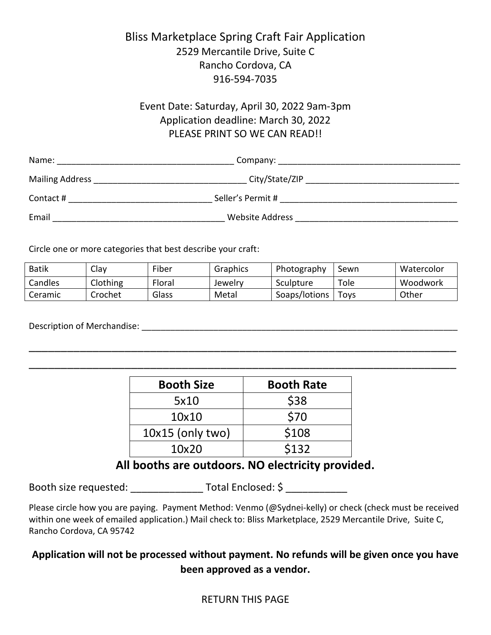## Bliss Marketplace Spring Craft Fair Application 2529 Mercantile Drive, Suite C Rancho Cordova, CA 916-594-7035

## Event Date: Saturday, April 30, 2022 9am-3pm Application deadline: March 30, 2022 PLEASE PRINT SO WE CAN READ!!

| Name:                  | Company:          |  |
|------------------------|-------------------|--|
| <b>Mailing Address</b> | City/State/ZIP    |  |
| Contact#               | Seller's Permit # |  |
| Email                  | Website Address   |  |

Circle one or more categories that best describe your craft:

| <b>Batik</b> | Clav     | Fiber           | Graphics | Photography   | Sewn | Watercolor |
|--------------|----------|-----------------|----------|---------------|------|------------|
| Candles      | Clothing | Floral          | Jewelry  | Sculpture     | Tole | Woodwork   |
| Ceramic      | Crochet  | $\sim$<br>Glass | Metal    | Soaps/lotions | Toys | Other      |

\_\_\_\_\_\_\_\_\_\_\_\_\_\_\_\_\_\_\_\_\_\_\_\_\_\_\_\_\_\_\_\_\_\_\_\_\_\_\_\_\_\_\_\_\_\_\_\_\_\_\_\_\_\_\_\_\_\_\_\_\_\_\_\_\_\_\_

\_\_\_\_\_\_\_\_\_\_\_\_\_\_\_\_\_\_\_\_\_\_\_\_\_\_\_\_\_\_\_\_\_\_\_\_\_\_\_\_\_\_\_\_\_\_\_\_\_\_\_\_\_\_\_\_\_\_\_\_\_\_\_\_\_\_\_

Description of Merchandise: \_\_\_\_\_\_\_\_\_\_\_\_\_\_\_\_\_\_\_\_\_\_\_\_\_\_\_\_\_\_\_\_\_\_\_\_\_\_\_\_\_\_\_\_\_\_\_\_\_\_\_\_\_\_\_\_\_\_\_\_\_\_\_\_\_\_

| <b>Booth Size</b>  | <b>Booth Rate</b> |
|--------------------|-------------------|
| 5x10               | \$38              |
| 10x10              | \$70              |
| $10x15$ (only two) | \$108             |
| 10x20              | \$132             |

## **All booths are outdoors. NO electricity provided.**

Booth size requested: <br>
Total Enclosed: \$

Please circle how you are paying. Payment Method: Venmo (@Sydnei-kelly) or check (check must be received within one week of emailed application.) Mail check to: Bliss Marketplace, 2529 Mercantile Drive, Suite C, Rancho Cordova, CA 95742

## **Application will not be processed without payment. No refunds will be given once you have been approved as a vendor.**

#### RETURN THIS PAGE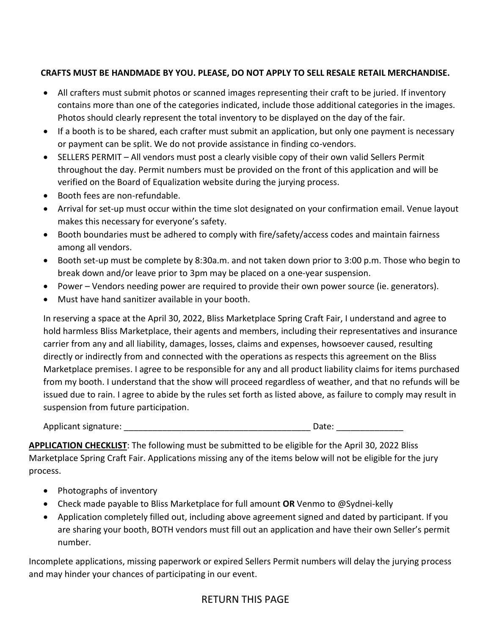#### **CRAFTS MUST BE HANDMADE BY YOU. PLEASE, DO NOT APPLY TO SELL RESALE RETAIL MERCHANDISE.**

- All crafters must submit photos or scanned images representing their craft to be juried. If inventory contains more than one of the categories indicated, include those additional categories in the images. Photos should clearly represent the total inventory to be displayed on the day of the fair.
- If a booth is to be shared, each crafter must submit an application, but only one payment is necessary or payment can be split. We do not provide assistance in finding co-vendors.
- SELLERS PERMIT All vendors must post a clearly visible copy of their own valid Sellers Permit throughout the day. Permit numbers must be provided on the front of this application and will be verified on the Board of Equalization website during the jurying process.
- Booth fees are non-refundable.
- Arrival for set-up must occur within the time slot designated on your confirmation email. Venue layout makes this necessary for everyone's safety.
- Booth boundaries must be adhered to comply with fire/safety/access codes and maintain fairness among all vendors.
- Booth set-up must be complete by 8:30a.m. and not taken down prior to 3:00 p.m. Those who begin to break down and/or leave prior to 3pm may be placed on a one-year suspension.
- Power Vendors needing power are required to provide their own power source (ie. generators).
- Must have hand sanitizer available in your booth.

In reserving a space at the April 30, 2022, Bliss Marketplace Spring Craft Fair, I understand and agree to hold harmless Bliss Marketplace, their agents and members, including their representatives and insurance carrier from any and all liability, damages, losses, claims and expenses, howsoever caused, resulting directly or indirectly from and connected with the operations as respects this agreement on the Bliss Marketplace premises. I agree to be responsible for any and all product liability claims for items purchased from my booth. I understand that the show will proceed regardless of weather, and that no refunds will be issued due to rain. I agree to abide by the rules set forth as listed above, as failure to comply may result in suspension from future participation.

Applicant signature:  $\Box$ 

**APPLICATION CHECKLIST**: The following must be submitted to be eligible for the April 30, 2022 Bliss Marketplace Spring Craft Fair. Applications missing any of the items below will not be eligible for the jury process.

- Photographs of inventory
- Check made payable to Bliss Marketplace for full amount **OR** Venmo to @Sydnei-kelly
- Application completely filled out, including above agreement signed and dated by participant. If you are sharing your booth, BOTH vendors must fill out an application and have their own Seller's permit number.

Incomplete applications, missing paperwork or expired Sellers Permit numbers will delay the jurying process and may hinder your chances of participating in our event.